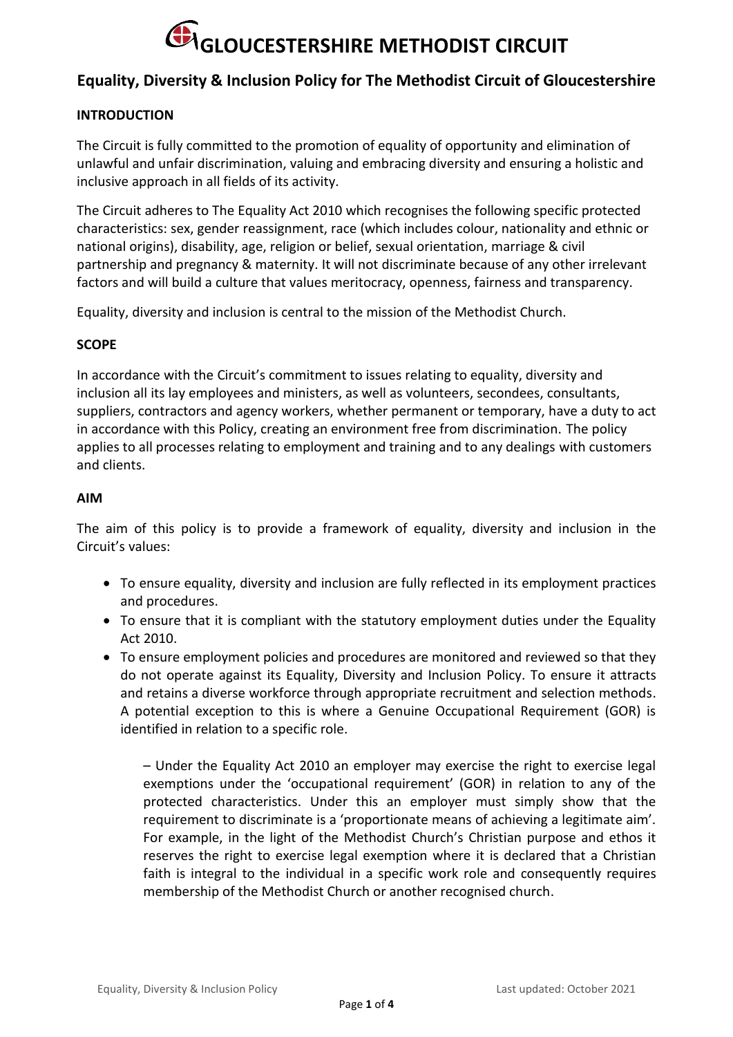## **GLOUCESTERSHIRE METHODIST CIRCUIT**

### **Equality, Diversity & Inclusion Policy for The Methodist Circuit of Gloucestershire**

#### **INTRODUCTION**

The Circuit is fully committed to the promotion of equality of opportunity and elimination of unlawful and unfair discrimination, valuing and embracing diversity and ensuring a holistic and inclusive approach in all fields of its activity.

The Circuit adheres to The Equality Act 2010 which recognises the following specific protected characteristics: sex, gender reassignment, race (which includes colour, nationality and ethnic or national origins), disability, age, religion or belief, sexual orientation, marriage & civil partnership and pregnancy & maternity. It will not discriminate because of any other irrelevant factors and will build a culture that values meritocracy, openness, fairness and transparency.

Equality, diversity and inclusion is central to the mission of the Methodist Church.

#### **SCOPE**

In accordance with the Circuit's commitment to issues relating to equality, diversity and inclusion all its lay employees and ministers, as well as volunteers, secondees, consultants, suppliers, contractors and agency workers, whether permanent or temporary, have a duty to act in accordance with this Policy, creating an environment free from discrimination. The policy applies to all processes relating to employment and training and to any dealings with customers and clients.

#### **AIM**

The aim of this policy is to provide a framework of equality, diversity and inclusion in the Circuit's values:

- To ensure equality, diversity and inclusion are fully reflected in its employment practices and procedures.
- To ensure that it is compliant with the statutory employment duties under the Equality Act 2010.
- To ensure employment policies and procedures are monitored and reviewed so that they do not operate against its Equality, Diversity and Inclusion Policy. To ensure it attracts and retains a diverse workforce through appropriate recruitment and selection methods. A potential exception to this is where a Genuine Occupational Requirement (GOR) is identified in relation to a specific role.

– Under the Equality Act 2010 an employer may exercise the right to exercise legal exemptions under the 'occupational requirement' (GOR) in relation to any of the protected characteristics. Under this an employer must simply show that the requirement to discriminate is a 'proportionate means of achieving a legitimate aim'. For example, in the light of the Methodist Church's Christian purpose and ethos it reserves the right to exercise legal exemption where it is declared that a Christian faith is integral to the individual in a specific work role and consequently requires membership of the Methodist Church or another recognised church.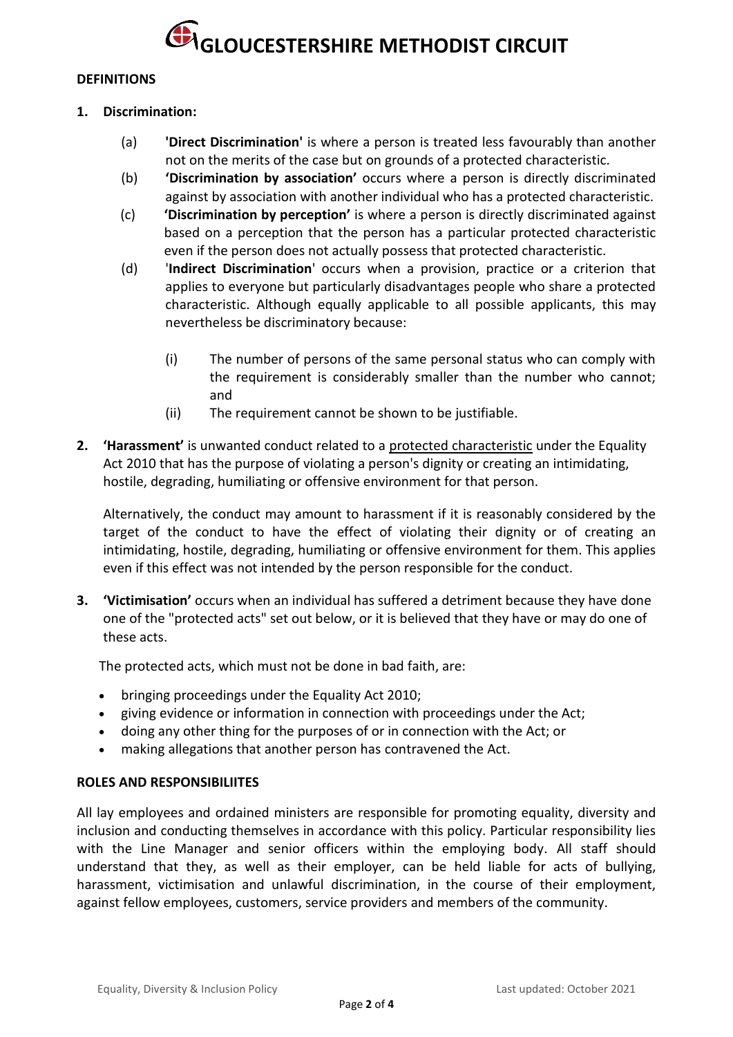# **G**<br>GLGI OUCESTERSHIRE METHODIST CIRCUIT

#### **DEFINITIONS**

#### **1. Discrimination:**

- (a) **'Direct Discrimination'** is where a person is treated less favourably than another not on the merits of the case but on grounds of a protected characteristic*.*
- (b) **'Discrimination by association'** occurs where a person is directly discriminated against by association with another individual who has a protected characteristic.
- (c) **'Discrimination by perception'** is where a person is directly discriminated against based on a perception that the person has a particular protected characteristic even if the person does not actually possess that protected characteristic.
- (d) '**Indirect Discrimination**' occurs when a provision, practice or a criterion that applies to everyone but particularly disadvantages people who share a protected characteristic. Although equally applicable to all possible applicants, this may nevertheless be discriminatory because:
	- (i) The number of persons of the same personal status who can comply with the requirement is considerably smaller than the number who cannot; and
	- (ii) The requirement cannot be shown to be justifiable.
- **2. 'Harassment'** is unwanted conduct related to a [protected characteristic](https://www.xperthr.co.uk/glossary/protected-characteristic/150052/) under the Equality Act 2010 that has the purpose of violating a person's dignity or creating an intimidating, hostile, degrading, humiliating or offensive environment for that person.

Alternatively, the conduct may amount to harassment if it is reasonably considered by the target of the conduct to have the effect of violating their dignity or of creating an intimidating, hostile, degrading, humiliating or offensive environment for them. This applies even if this effect was not intended by the person responsible for the conduct.

**3. 'Victimisation'** occurs when an individual has suffered a detriment because they have done one of the "protected acts" set out below, or it is believed that they have or may do one of these acts.

The protected acts, which must not be done in bad faith, are:

- bringing proceedings under the Equality Act 2010;
- giving evidence or information in connection with proceedings under the Act;
- doing any other thing for the purposes of or in connection with the Act; or
- making allegations that another person has contravened the Act.

#### **ROLES AND RESPONSIBILIITES**

All lay employees and ordained ministers are responsible for promoting equality, diversity and inclusion and conducting themselves in accordance with this policy. Particular responsibility lies with the Line Manager and senior officers within the employing body. All staff should understand that they, as well as their employer, can be held liable for acts of bullying, harassment, victimisation and unlawful discrimination, in the course of their employment, against fellow employees, customers, service providers and members of the community.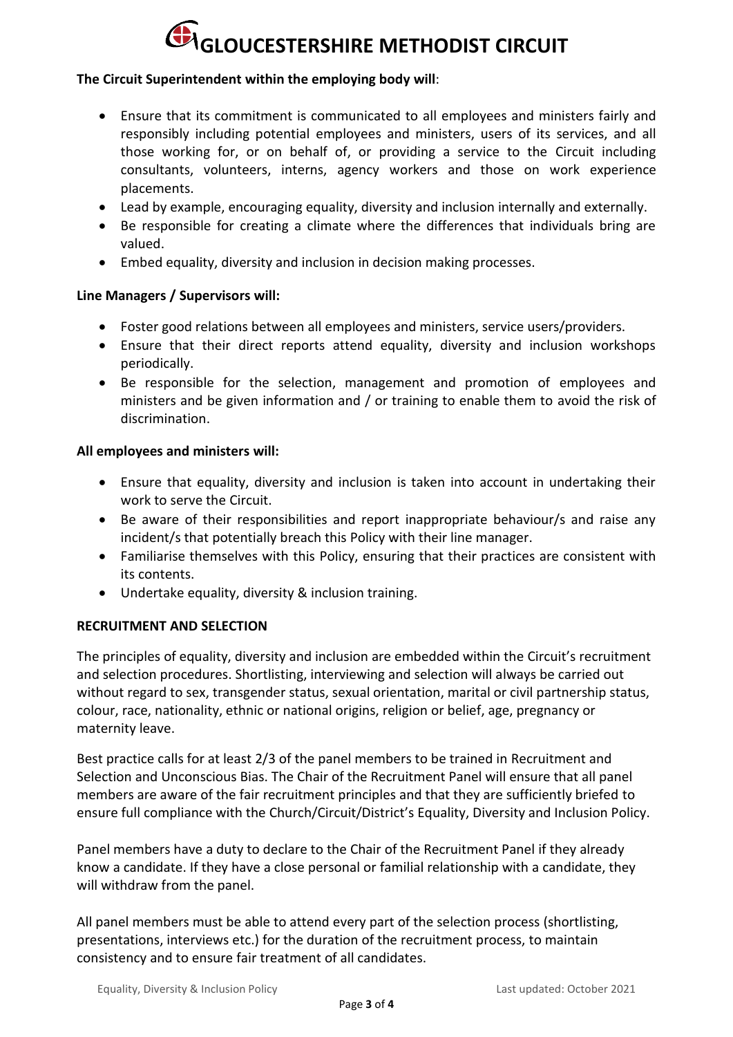## **GLOUCESTERSHIRE METHODIST CIRCUIT**

#### **The Circuit Superintendent within the employing body will**:

- Ensure that its commitment is communicated to all employees and ministers fairly and responsibly including potential employees and ministers, users of its services, and all those working for, or on behalf of, or providing a service to the Circuit including consultants, volunteers, interns, agency workers and those on work experience placements.
- Lead by example, encouraging equality, diversity and inclusion internally and externally.
- Be responsible for creating a climate where the differences that individuals bring are valued.
- Embed equality, diversity and inclusion in decision making processes.

#### **Line Managers / Supervisors will:**

- Foster good relations between all employees and ministers, service users/providers.
- Ensure that their direct reports attend equality, diversity and inclusion workshops periodically.
- Be responsible for the selection, management and promotion of employees and ministers and be given information and / or training to enable them to avoid the risk of discrimination.

#### **All employees and ministers will:**

- Ensure that equality, diversity and inclusion is taken into account in undertaking their work to serve the Circuit.
- Be aware of their responsibilities and report inappropriate behaviour/s and raise any incident/s that potentially breach this Policy with their line manager.
- Familiarise themselves with this Policy, ensuring that their practices are consistent with its contents.
- Undertake equality, diversity & inclusion training.

#### **RECRUITMENT AND SELECTION**

The principles of equality, diversity and inclusion are embedded within the Circuit's recruitment and selection procedures. Shortlisting, interviewing and selection will always be carried out without regard to sex, transgender status, sexual orientation, marital or civil partnership status, colour, race, nationality, ethnic or national origins, religion or belief, age, pregnancy or maternity leave.

Best practice calls for at least 2/3 of the panel members to be trained in Recruitment and Selection and Unconscious Bias. The Chair of the Recruitment Panel will ensure that all panel members are aware of the fair recruitment principles and that they are sufficiently briefed to ensure full compliance with the Church/Circuit/District's Equality, Diversity and Inclusion Policy.

Panel members have a duty to declare to the Chair of the Recruitment Panel if they already know a candidate. If they have a close personal or familial relationship with a candidate, they will withdraw from the panel.

All panel members must be able to attend every part of the selection process (shortlisting, presentations, interviews etc.) for the duration of the recruitment process, to maintain consistency and to ensure fair treatment of all candidates.